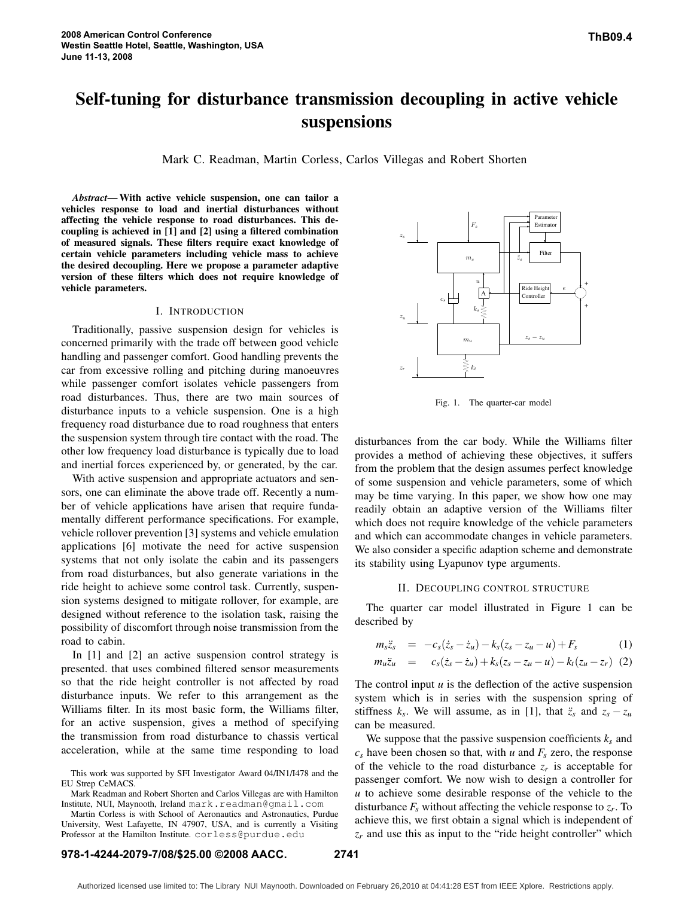# **Self-tuning for disturbance transmission decoupling in active vehicle suspensions**

Mark C. Readman, Martin Corless, Carlos Villegas and Robert Shorten

*Abstract***— With active vehicle suspension, one can tailor a vehicles response to load and inertial disturbances without affecting the vehicle response to road disturbances. This decoupling is achieved in [1] and [2] using a filtered combination of measured signals. These filters require exact knowledge of certain vehicle parameters including vehicle mass to achieve the desired decoupling. Here we propose a parameter adaptive version of these filters which does not require knowledge of vehicle parameters.**

## I. INTRODUCTION

Traditionally, passive suspension design for vehicles is concerned primarily with the trade off between good vehicle handling and passenger comfort. Good handling prevents the car from excessive rolling and pitching during manoeuvres while passenger comfort isolates vehicle passengers from road disturbances. Thus, there are two main sources of disturbance inputs to a vehicle suspension. One is a high frequency road disturbance due to road roughness that enters the suspension system through tire contact with the road. The other low frequency load disturbance is typically due to load and inertial forces experienced by, or generated, by the car.

With active suspension and appropriate actuators and sensors, one can eliminate the above trade off. Recently a number of vehicle applications have arisen that require fundamentally different performance specifications. For example, vehicle rollover prevention [3] systems and vehicle emulation applications [6] motivate the need for active suspension systems that not only isolate the cabin and its passengers from road disturbances, but also generate variations in the ride height to achieve some control task. Currently, suspension systems designed to mitigate rollover, for example, are designed without reference to the isolation task, raising the possibility of discomfort through noise transmission from the road to cabin.

In [1] and [2] an active suspension control strategy is presented. that uses combined filtered sensor measurements so that the ride height controller is not affected by road disturbance inputs. We refer to this arrangement as the Williams filter. In its most basic form, the Williams filter, for an active suspension, gives a method of specifying the transmission from road disturbance to chassis vertical acceleration, while at the same time responding to load

This work was supported by SFI Investigator Award 04/IN1/I478 and the EU Strep CeMACS.

Mark Readman and Robert Shorten and Carlos Villegas are with Hamilton Institute, NUI, Maynooth, Ireland mark.readman@gmail.com

Martin Corless is with School of Aeronautics and Astronautics, Purdue University, West Lafayette, IN 47907, USA, and is currently a Visiting Professor at the Hamilton Institute. corless@purdue.edu



Fig. 1. The quarter-car model

disturbances from the car body. While the Williams filter provides a method of achieving these objectives, it suffers from the problem that the design assumes perfect knowledge of some suspension and vehicle parameters, some of which may be time varying. In this paper, we show how one may readily obtain an adaptive version of the Williams filter which does not require knowledge of the vehicle parameters and which can accommodate changes in vehicle parameters. We also consider a specific adaption scheme and demonstrate its stability using Lyapunov type arguments.

#### II. DECOUPLING CONTROL STRUCTURE

The quarter car model illustrated in Figure 1 can be described by

$$
m_{s}\ddot{z}_{s} = -c_{s}(\dot{z}_{s} - \dot{z}_{u}) - k_{s}(z_{s} - z_{u} - u) + F_{s}
$$
(1)

$$
m_u \ddot{z}_u = c_s(\dot{z}_s - \dot{z}_u) + k_s(z_s - z_u - u) - k_t(z_u - z_r) \tag{2}
$$

The control input  $u$  is the deflection of the active suspension system which is in series with the suspension spring of stiffness  $k_s$ . We will assume, as in [1], that  $\ddot{z}_s$  and  $z_s - z_u$ can be measured.

We suppose that the passive suspension coefficients  $k_s$  and  $c_s$  have been chosen so that, with *u* and  $F_s$  zero, the response of the vehicle to the road disturbance  $z_r$  is acceptable for passenger comfort. We now wish to design a controller for *u* to achieve some desirable response of the vehicle to the disturbance *F<sup>s</sup>* without affecting the vehicle response to *z<sup>r</sup>* . To achieve this, we first obtain a signal which is independent of  $z_r$  and use this as input to the "ride height controller" which

## **978-1-4244-2079-7/08/\$25.00 ©2008 AACC. 2741**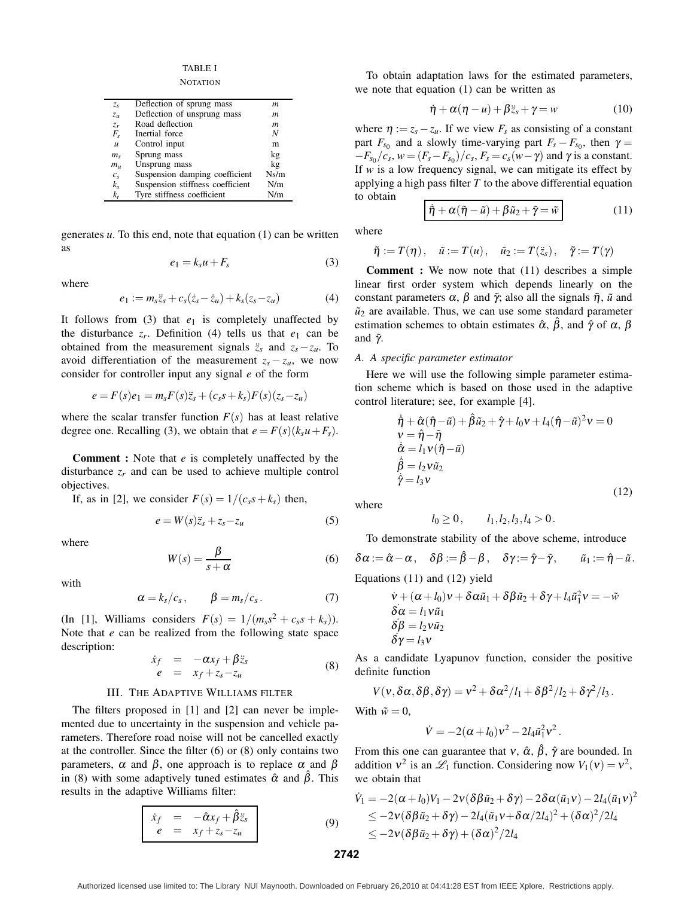TABLE I

**NOTATION** 

| $z_{s}$          | Deflection of sprung mass        | m    |
|------------------|----------------------------------|------|
| $z_u$            | Deflection of unsprung mass      | m    |
| $Z_r$            | Road deflection                  | m    |
| $F_{s}$          | Inertial force                   | N    |
| $\boldsymbol{u}$ | Control input                    | m    |
| $m_{\rm s}$      | Sprung mass                      | kg   |
| $m_{\rm u}$      | Unsprung mass                    | kg   |
| $c_{s}$          | Suspension damping coefficient   | Ns/m |
| $k_{s}$          | Suspension stiffness coefficient | N/m  |
| $k_t$            | Tyre stiffness coefficient       | N/m  |

generates *u*. To this end, note that equation (1) can be written as

$$
e_1 = k_s u + F_s \tag{3}
$$

where

$$
e_1 := m_s \ddot{z}_s + c_s (\dot{z}_s - \dot{z}_u) + k_s (z_s - z_u)
$$
 (4)

It follows from  $(3)$  that  $e_1$  is completely unaffected by the disturbance  $z_r$ . Definition (4) tells us that  $e_1$  can be obtained from the measurement signals  $\ddot{z}_s$  and  $z_s - z_u$ . To avoid differentiation of the measurement  $z_s - z_u$ , we now consider for controller input any signal *e* of the form

$$
e = F(s)e_1 = m_sF(s)\ddot{z}_s + (c_s s + k_s)F(s)(z_s - z_u)
$$

where the scalar transfer function  $F(s)$  has at least relative degree one. Recalling (3), we obtain that  $e = F(s)(k_s u + F_s)$ .

**Comment :** Note that *e* is completely unaffected by the disturbance  $z_r$  and can be used to achieve multiple control objectives.

If, as in [2], we consider  $F(s) = 1/(c_s s + k_s)$  then,

$$
e = W(s)\ddot{z}_s + z_s - z_u \tag{5}
$$

where

$$
W(s) = \frac{\beta}{s + \alpha} \tag{6}
$$

with

$$
\alpha = k_s/c_s, \qquad \beta = m_s/c_s. \tag{7}
$$

(In [1], Williams considers  $F(s) = 1/(m_s s^2 + c_s s + k_s)$ ). Note that *e* can be realized from the following state space description:

$$
\dot{x}_f = -\alpha x_f + \beta \ddot{z}_s \neq x_f + z_s - z_u
$$
\n(8)

### III. THE ADAPTIVE WILLIAMS FILTER

The filters proposed in [1] and [2] can never be implemented due to uncertainty in the suspension and vehicle parameters. Therefore road noise will not be cancelled exactly at the controller. Since the filter (6) or (8) only contains two parameters,  $\alpha$  and  $\beta$ , one approach is to replace  $\alpha$  and  $\beta$ in (8) with some adaptively tuned estimates  $\hat{\alpha}$  and  $\hat{\beta}$ . This results in the adaptive Williams filter:

$$
\begin{array}{|rcll}\n\dot{x}_f &=& -\hat{\alpha}x_f + \hat{\beta}\ddot{z}_s \\
e &=& x_f + z_s - z_u\n\end{array}\n\tag{9}
$$

To obtain adaptation laws for the estimated parameters, we note that equation (1) can be written as

$$
\dot{\eta} + \alpha(\eta - u) + \beta \ddot{z}_s + \gamma = w \tag{10}
$$

where  $\eta := z_s - z_u$ . If we view  $F_s$  as consisting of a constant part  $F_{s0}$  and a slowly time-varying part  $F_s - F_{s0}$ , then  $\gamma =$  $-F_{s_0}/c_s$ ,  $w = (F_s - F_{s_0})/c_s$ ,  $F_s = c_s(w - \gamma)$  and  $\gamma$  is a constant. If *w* is a low frequency signal, we can mitigate its effect by applying a high pass filter *T* to the above differential equation to obtain

$$
\dot{\tilde{\eta}} + \alpha (\tilde{\eta} - \tilde{u}) + \beta \tilde{u}_2 + \tilde{\gamma} = \tilde{w}
$$
 (11)

where

$$
\tilde{\eta} := T(\eta), \quad \tilde{u} := T(u), \quad \tilde{u}_2 := T(\ddot{z}_s), \quad \tilde{\gamma} := T(\gamma)
$$

**Comment :** We now note that (11) describes a simple linear first order system which depends linearly on the constant parameters  $\alpha$ ,  $\beta$  and  $\tilde{\gamma}$ ; also all the signals  $\tilde{\eta}$ ,  $\tilde{u}$  and  $\tilde{u}_2$  are available. Thus, we can use some standard parameter estimation schemes to obtain estimates  $\hat{\alpha}$ ,  $\hat{\beta}$ , and  $\hat{\gamma}$  of  $\alpha$ ,  $\beta$ and  $\tilde{\gamma}$ .

## *A. A specific parameter estimator*

Here we will use the following simple parameter estimation scheme which is based on those used in the adaptive control literature; see, for example [4].

$$
\dot{\hat{\eta}} + \hat{\alpha}(\hat{\eta} - \tilde{u}) + \hat{\beta}\tilde{u}_2 + \hat{\gamma} + l_0 v + l_4(\hat{\eta} - \tilde{u})^2 v = 0
$$
  
\n
$$
v = \hat{\eta} - \tilde{\eta}
$$
  
\n
$$
\dot{\hat{\alpha}} = l_1 v(\hat{\eta} - \tilde{u})
$$
  
\n
$$
\dot{\hat{\beta}} = l_2 v \tilde{u}_2
$$
  
\n
$$
\dot{\hat{\gamma}} = l_3 v
$$
\n(12)

where

$$
l_0 \geq 0, \qquad l_1, l_2, l_3, l_4 > 0.
$$

To demonstrate stability of the above scheme, introduce

 $\delta \alpha := \hat{\alpha} - \alpha$ ,  $\delta \beta := \hat{\beta} - \beta$ ,  $\delta \gamma := \hat{\gamma} - \tilde{\gamma}$ ,  $\tilde{u}_1 := \hat{\eta} - \tilde{u}$ .

Equations 
$$
(11)
$$
 and  $(12)$  yield

$$
\dot{v} + (\alpha + l_0)v + \delta \alpha \tilde{u}_1 + \delta \beta \tilde{u}_2 + \delta \gamma + l_4 \tilde{u}_1^2 v = -\tilde{w}
$$
  
\n
$$
\delta \alpha = l_1 v \tilde{u}_1
$$
  
\n
$$
\delta \beta = l_2 v \tilde{u}_2
$$
  
\n
$$
\delta \gamma = l_3 v
$$

As a candidate Lyapunov function, consider the positive definite function

$$
V(v, \delta\alpha, \delta\beta, \delta\gamma) = v^2 + \delta\alpha^2/l_1 + \delta\beta^2/l_2 + \delta\gamma^2/l_3.
$$

With  $\tilde{w} = 0$ ,

$$
\dot{V} = -2(\alpha + l_0)v^2 - 2l_4\tilde{u}_1^2v^2.
$$

From this one can guarantee that  $v$ ,  $\hat{\alpha}$ ,  $\hat{\beta}$ ,  $\hat{\gamma}$  are bounded. In addition  $v^2$  is an  $\mathscr{L}_1$  function. Considering now  $V_1(v) = v^2$ , we obtain that

$$
\dot{V}_1 = -2(\alpha + l_0)V_1 - 2v(\delta\beta \tilde{u}_2 + \delta\gamma) - 2\delta\alpha(\tilde{u}_1v) - 2l_4(\tilde{u}_1v)^2
$$
\n
$$
\leq -2v(\delta\beta \tilde{u}_2 + \delta\gamma) - 2l_4(\tilde{u}_1v + \delta\alpha/2l_4)^2 + (\delta\alpha)^2/2l_4
$$
\n
$$
\leq -2v(\delta\beta \tilde{u}_2 + \delta\gamma) + (\delta\alpha)^2/2l_4
$$

**2742**